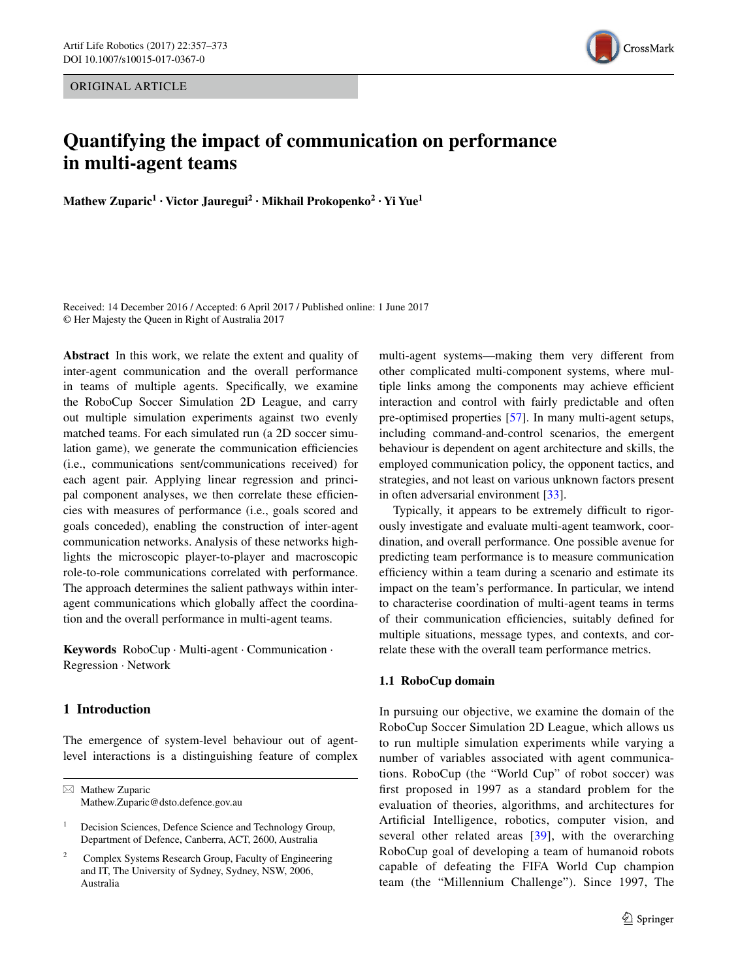ORIGINAL ARTICLE



# **Quantifying the impact of communication on performance in multi‑agent teams**

**Mathew Zuparic1 · Victor Jauregui2 · Mikhail Prokopenko2 · Yi Yue1**

Received: 14 December 2016 / Accepted: 6 April 2017 / Published online: 1 June 2017 © Her Majesty the Queen in Right of Australia 2017

**Abstract** In this work, we relate the extent and quality of inter-agent communication and the overall performance in teams of multiple agents. Specifcally, we examine the RoboCup Soccer Simulation 2D League, and carry out multiple simulation experiments against two evenly matched teams. For each simulated run (a 2D soccer simulation game), we generate the communication efficiencies (i.e., communications sent/communications received) for each agent pair. Applying linear regression and principal component analyses, we then correlate these efficiencies with measures of performance (i.e., goals scored and goals conceded), enabling the construction of inter-agent communication networks. Analysis of these networks highlights the microscopic player-to-player and macroscopic role-to-role communications correlated with performance. The approach determines the salient pathways within interagent communications which globally affect the coordination and the overall performance in multi-agent teams.

**Keywords** RoboCup · Multi-agent · Communication · Regression · Network

# **1 Introduction**

The emergence of system-level behaviour out of agentlevel interactions is a distinguishing feature of complex

 $\boxtimes$  Mathew Zuparic Mathew.Zuparic@dsto.defence.gov.au multi-agent systems—making them very different from other complicated multi-component systems, where multiple links among the components may achieve effcient interaction and control with fairly predictable and often pre-optimised properties [\[57](#page-15-0)]. In many multi-agent setups, including command-and-control scenarios, the emergent behaviour is dependent on agent architecture and skills, the employed communication policy, the opponent tactics, and strategies, and not least on various unknown factors present in often adversarial environment [[33\]](#page-15-1).

Typically, it appears to be extremely difficult to rigorously investigate and evaluate multi-agent teamwork, coordination, and overall performance. One possible avenue for predicting team performance is to measure communication effciency within a team during a scenario and estimate its impact on the team's performance. In particular, we intend to characterise coordination of multi-agent teams in terms of their communication effciencies, suitably defned for multiple situations, message types, and contexts, and correlate these with the overall team performance metrics.

# **1.1 RoboCup domain**

In pursuing our objective, we examine the domain of the RoboCup Soccer Simulation 2D League, which allows us to run multiple simulation experiments while varying a number of variables associated with agent communications. RoboCup (the "World Cup" of robot soccer) was frst proposed in 1997 as a standard problem for the evaluation of theories, algorithms, and architectures for Artifcial Intelligence, robotics, computer vision, and several other related areas [\[39\]](#page-15-2), with the overarching RoboCup goal of developing a team of humanoid robots capable of defeating the FIFA World Cup champion team (the "Millennium Challenge"). Since 1997, The

<sup>&</sup>lt;sup>1</sup> Decision Sciences, Defence Science and Technology Group, Department of Defence, Canberra, ACT, 2600, Australia

<sup>2</sup> Complex Systems Research Group, Faculty of Engineering and IT, The University of Sydney, Sydney, NSW, 2006, Australia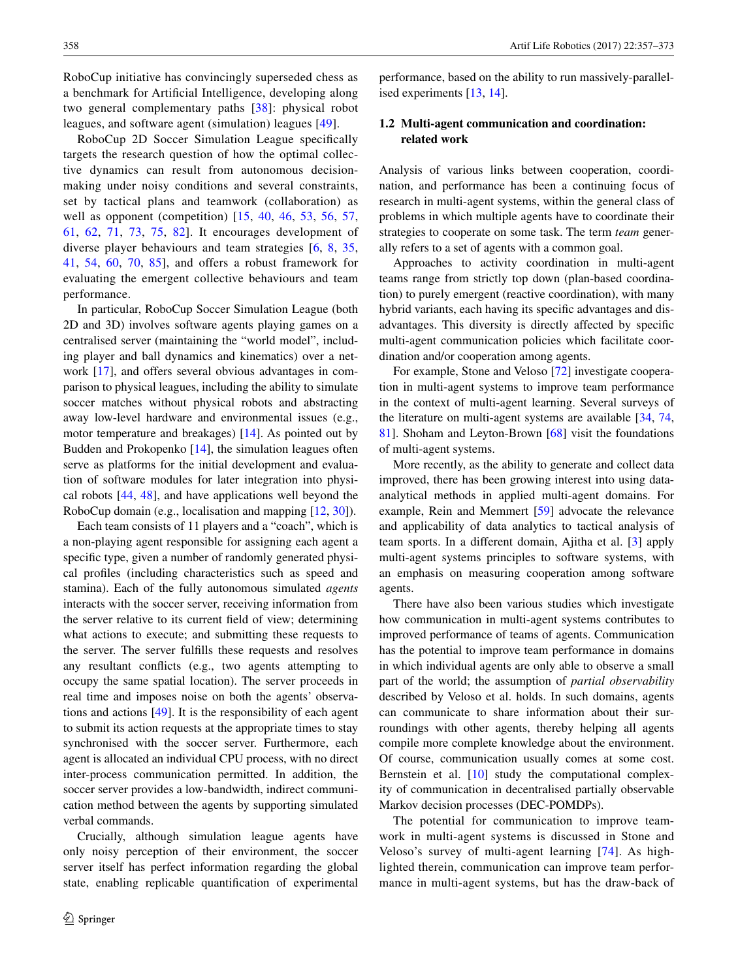RoboCup initiative has convincingly superseded chess as a benchmark for Artifcial Intelligence, developing along two general complementary paths [\[38\]](#page-15-3): physical robot leagues, and software agent (simulation) leagues [\[49](#page-15-4)].

RoboCup 2D Soccer Simulation League specifcally targets the research question of how the optimal collective dynamics can result from autonomous decisionmaking under noisy conditions and several constraints, set by tactical plans and teamwork (collaboration) as well as opponent (competition) [[15,](#page-14-0) [40,](#page-15-5) [46,](#page-15-6) [53,](#page-15-7) [56,](#page-15-8) [57,](#page-15-0) [61](#page-15-9), [62](#page-15-10), [71,](#page-16-0) [73](#page-16-1), [75](#page-16-2), [82\]](#page-16-3). It encourages development of diverse player behaviours and team strategies [[6,](#page-14-1) [8,](#page-14-2) [35,](#page-15-11) [41](#page-15-12), [54,](#page-15-13) [60](#page-15-14), [70](#page-16-4), [85\]](#page-16-5), and offers a robust framework for evaluating the emergent collective behaviours and team performance.

In particular, RoboCup Soccer Simulation League (both 2D and 3D) involves software agents playing games on a centralised server (maintaining the "world model", including player and ball dynamics and kinematics) over a network [\[17](#page-14-3)], and offers several obvious advantages in comparison to physical leagues, including the ability to simulate soccer matches without physical robots and abstracting away low-level hardware and environmental issues (e.g., motor temperature and breakages) [[14\]](#page-14-4). As pointed out by Budden and Prokopenko [[14\]](#page-14-4), the simulation leagues often serve as platforms for the initial development and evaluation of software modules for later integration into physical robots [[44,](#page-15-15) [48](#page-15-16)], and have applications well beyond the RoboCup domain (e.g., localisation and mapping [[12,](#page-14-5) [30\]](#page-15-17)).

Each team consists of 11 players and a "coach", which is a non-playing agent responsible for assigning each agent a specific type, given a number of randomly generated physical profles (including characteristics such as speed and stamina). Each of the fully autonomous simulated *agents* interacts with the soccer server, receiving information from the server relative to its current feld of view; determining what actions to execute; and submitting these requests to the server. The server fulflls these requests and resolves any resultant conficts (e.g., two agents attempting to occupy the same spatial location). The server proceeds in real time and imposes noise on both the agents' observations and actions [\[49](#page-15-4)]. It is the responsibility of each agent to submit its action requests at the appropriate times to stay synchronised with the soccer server. Furthermore, each agent is allocated an individual CPU process, with no direct inter-process communication permitted. In addition, the soccer server provides a low-bandwidth, indirect communication method between the agents by supporting simulated verbal commands.

Crucially, although simulation league agents have only noisy perception of their environment, the soccer server itself has perfect information regarding the global state, enabling replicable quantifcation of experimental

performance, based on the ability to run massively-parallelised experiments [\[13](#page-14-6), [14](#page-14-4)].

# **1.2 Multi‑agent communication and coordination: related work**

Analysis of various links between cooperation, coordination, and performance has been a continuing focus of research in multi-agent systems, within the general class of problems in which multiple agents have to coordinate their strategies to cooperate on some task. The term *team* generally refers to a set of agents with a common goal.

Approaches to activity coordination in multi-agent teams range from strictly top down (plan-based coordination) to purely emergent (reactive coordination), with many hybrid variants, each having its specifc advantages and disadvantages. This diversity is directly affected by specifc multi-agent communication policies which facilitate coordination and/or cooperation among agents.

For example, Stone and Veloso [[72\]](#page-16-6) investigate cooperation in multi-agent systems to improve team performance in the context of multi-agent learning. Several surveys of the literature on multi-agent systems are available [\[34](#page-15-18), [74,](#page-16-7) [81](#page-16-8)]. Shoham and Leyton-Brown [\[68](#page-16-9)] visit the foundations of multi-agent systems.

More recently, as the ability to generate and collect data improved, there has been growing interest into using dataanalytical methods in applied multi-agent domains. For example, Rein and Memmert [[59\]](#page-15-19) advocate the relevance and applicability of data analytics to tactical analysis of team sports. In a different domain, Ajitha et al. [[3\]](#page-14-7) apply multi-agent systems principles to software systems, with an emphasis on measuring cooperation among software agents.

There have also been various studies which investigate how communication in multi-agent systems contributes to improved performance of teams of agents. Communication has the potential to improve team performance in domains in which individual agents are only able to observe a small part of the world; the assumption of *partial observability* described by Veloso et al. holds. In such domains, agents can communicate to share information about their surroundings with other agents, thereby helping all agents compile more complete knowledge about the environment. Of course, communication usually comes at some cost. Bernstein et al. [[10\]](#page-14-8) study the computational complexity of communication in decentralised partially observable Markov decision processes (DEC-POMDPs).

The potential for communication to improve teamwork in multi-agent systems is discussed in Stone and Veloso's survey of multi-agent learning [[74](#page-16-7)]. As highlighted therein, communication can improve team performance in multi-agent systems, but has the draw-back of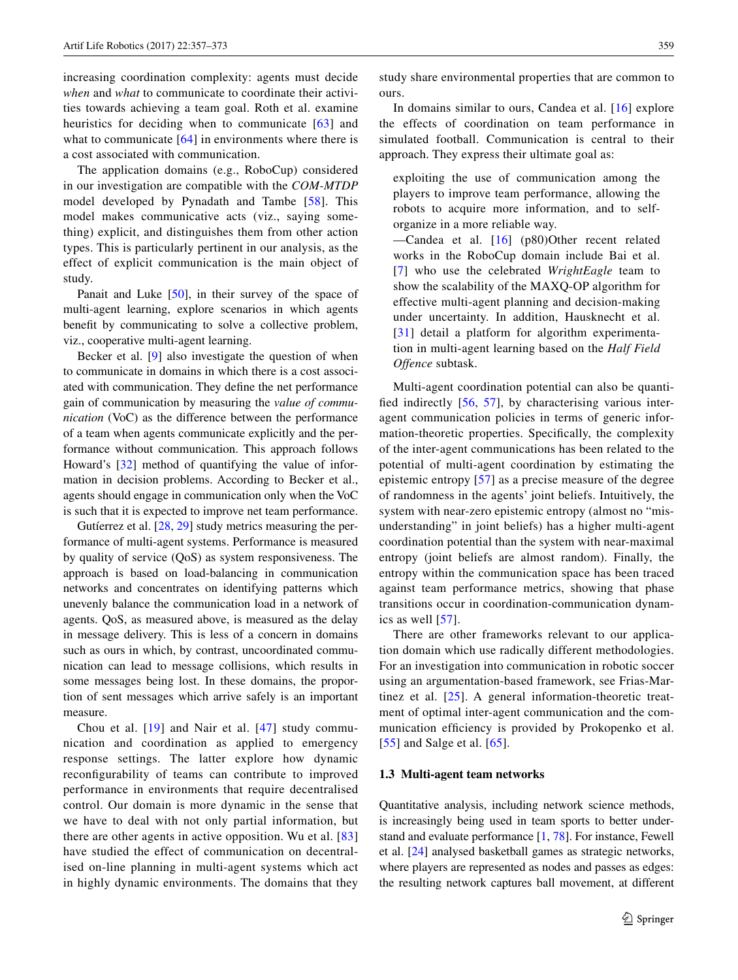increasing coordination complexity: agents must decide *when* and *what* to communicate to coordinate their activities towards achieving a team goal. Roth et al. examine heuristics for deciding when to communicate [[63](#page-16-10)] and what to communicate [[64](#page-16-11)] in environments where there is a cost associated with communication.

The application domains (e.g., RoboCup) considered in our investigation are compatible with the *COM-MTDP* model developed by Pynadath and Tambe [[58](#page-15-20)]. This model makes communicative acts (viz., saying something) explicit, and distinguishes them from other action types. This is particularly pertinent in our analysis, as the effect of explicit communication is the main object of study.

Panait and Luke [[50\]](#page-15-21), in their survey of the space of multi-agent learning, explore scenarios in which agents beneft by communicating to solve a collective problem, viz., cooperative multi-agent learning.

Becker et al. [[9\]](#page-14-9) also investigate the question of when to communicate in domains in which there is a cost associated with communication. They defne the net performance gain of communication by measuring the *value of communication* (VoC) as the difference between the performance of a team when agents communicate explicitly and the performance without communication. This approach follows Howard's [\[32](#page-15-22)] method of quantifying the value of information in decision problems. According to Becker et al., agents should engage in communication only when the VoC is such that it is expected to improve net team performance.

Gutíerrez et al. [[28,](#page-15-23) [29\]](#page-15-24) study metrics measuring the performance of multi-agent systems. Performance is measured by quality of service (QoS) as system responsiveness. The approach is based on load-balancing in communication networks and concentrates on identifying patterns which unevenly balance the communication load in a network of agents. QoS, as measured above, is measured as the delay in message delivery. This is less of a concern in domains such as ours in which, by contrast, uncoordinated communication can lead to message collisions, which results in some messages being lost. In these domains, the proportion of sent messages which arrive safely is an important measure.

Chou et al. [[19\]](#page-14-10) and Nair et al. [[47](#page-15-25)] study communication and coordination as applied to emergency response settings. The latter explore how dynamic reconfgurability of teams can contribute to improved performance in environments that require decentralised control. Our domain is more dynamic in the sense that we have to deal with not only partial information, but there are other agents in active opposition. Wu et al. [\[83\]](#page-16-12) have studied the effect of communication on decentralised on-line planning in multi-agent systems which act in highly dynamic environments. The domains that they study share environmental properties that are common to ours.

In domains similar to ours, Candea et al. [[16\]](#page-14-11) explore the effects of coordination on team performance in simulated football. Communication is central to their approach. They express their ultimate goal as:

exploiting the use of communication among the players to improve team performance, allowing the robots to acquire more information, and to selforganize in a more reliable way.

—Candea et al. [[16](#page-14-11)] (p80)Other recent related works in the RoboCup domain include Bai et al. [[7](#page-14-12)] who use the celebrated *WrightEagle* team to show the scalability of the MAXQ-OP algorithm for effective multi-agent planning and decision-making under uncertainty. In addition, Hausknecht et al. [[31](#page-15-26)] detail a platform for algorithm experimentation in multi-agent learning based on the *Half Field Offence* subtask.

Multi-agent coordination potential can also be quantifed indirectly [\[56](#page-15-8), [57\]](#page-15-0), by characterising various interagent communication policies in terms of generic information-theoretic properties. Specifcally, the complexity of the inter-agent communications has been related to the potential of multi-agent coordination by estimating the epistemic entropy [[57](#page-15-0)] as a precise measure of the degree of randomness in the agents' joint beliefs. Intuitively, the system with near-zero epistemic entropy (almost no "misunderstanding" in joint beliefs) has a higher multi-agent coordination potential than the system with near-maximal entropy (joint beliefs are almost random). Finally, the entropy within the communication space has been traced against team performance metrics, showing that phase transitions occur in coordination-communication dynamics as well [\[57\]](#page-15-0).

There are other frameworks relevant to our application domain which use radically different methodologies. For an investigation into communication in robotic soccer using an argumentation-based framework, see Frias-Martinez et al. [[25\]](#page-15-27). A general information-theoretic treatment of optimal inter-agent communication and the communication efficiency is provided by Prokopenko et al. [[55\]](#page-15-28) and Salge et al. [\[65\]](#page-16-13).

#### **1.3 Multi‑agent team networks**

Quantitative analysis, including network science methods, is increasingly being used in team sports to better understand and evaluate performance [[1](#page-14-13), [78](#page-16-14)]. For instance, Fewell et al. [\[24](#page-15-29)] analysed basketball games as strategic networks, where players are represented as nodes and passes as edges: the resulting network captures ball movement, at different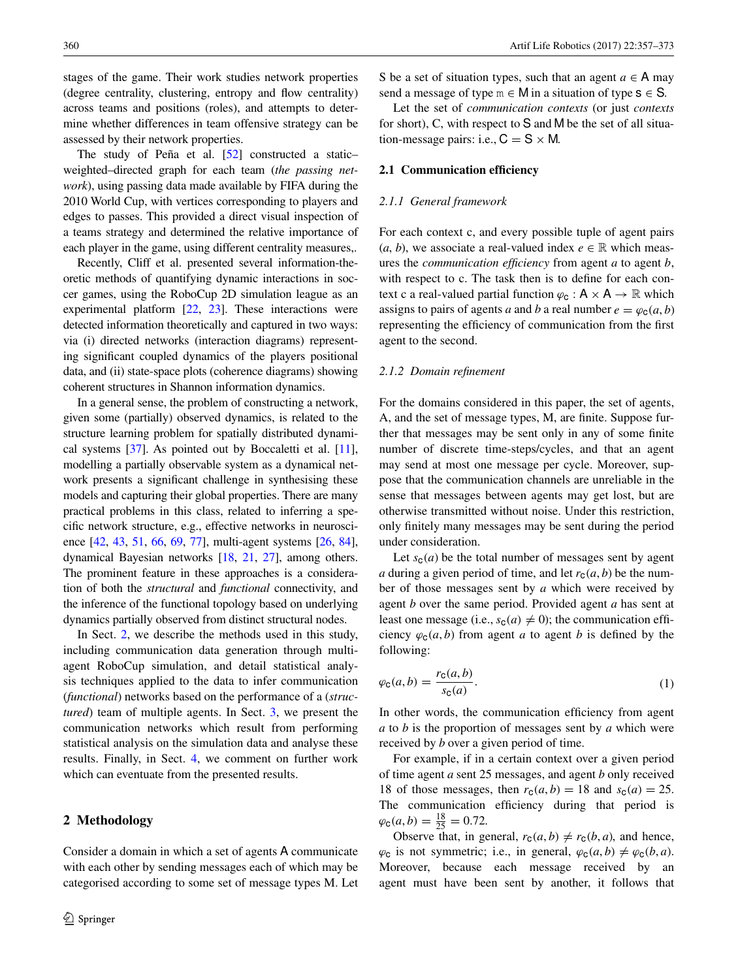stages of the game. Their work studies network properties (degree centrality, clustering, entropy and fow centrality) across teams and positions (roles), and attempts to determine whether differences in team offensive strategy can be assessed by their network properties.

The study of Peña et al. [[52\]](#page-15-30) constructed a static– weighted–directed graph for each team (*the passing network*), using passing data made available by FIFA during the 2010 World Cup, with vertices corresponding to players and edges to passes. This provided a direct visual inspection of a teams strategy and determined the relative importance of each player in the game, using different centrality measures,.

Recently, Cliff et al. presented several information-theoretic methods of quantifying dynamic interactions in soccer games, using the RoboCup 2D simulation league as an experimental platform [\[22](#page-14-14), [23](#page-14-15)]. These interactions were detected information theoretically and captured in two ways: via (i) directed networks (interaction diagrams) representing signifcant coupled dynamics of the players positional data, and (ii) state-space plots (coherence diagrams) showing coherent structures in Shannon information dynamics.

In a general sense, the problem of constructing a network, given some (partially) observed dynamics, is related to the structure learning problem for spatially distributed dynamical systems [[37](#page-15-31)]. As pointed out by Boccaletti et al. [[11](#page-14-16)], modelling a partially observable system as a dynamical network presents a signifcant challenge in synthesising these models and capturing their global properties. There are many practical problems in this class, related to inferring a specifc network structure, e.g., effective networks in neuroscience [[42](#page-15-32), [43,](#page-15-33) [51](#page-15-34), [66](#page-16-15), [69,](#page-16-16) [77](#page-16-17)], multi-agent systems [\[26,](#page-15-35) [84](#page-16-18)], dynamical Bayesian networks [\[18](#page-14-17), [21,](#page-14-18) [27\]](#page-15-36), among others. The prominent feature in these approaches is a consideration of both the *structural* and *functional* connectivity, and the inference of the functional topology based on underlying dynamics partially observed from distinct structural nodes.

In Sect. [2,](#page-3-0) we describe the methods used in this study, including communication data generation through multiagent RoboCup simulation, and detail statistical analysis techniques applied to the data to infer communication (*functional*) networks based on the performance of a (*structured*) team of multiple agents. In Sect. [3,](#page-6-0) we present the communication networks which result from performing statistical analysis on the simulation data and analyse these results. Finally, in Sect. [4](#page-13-0), we comment on further work which can eventuate from the presented results.

## <span id="page-3-0"></span>**2 Methodology**

Consider a domain in which a set of agents A communicate with each other by sending messages each of which may be categorised according to some set of message types M. Let S be a set of situation types, such that an agent  $a \in A$  may send a message of type  $m \in M$  in a situation of type  $s \in S$ .

Let the set of *communication contexts* (or just *contexts* for short), C, with respect to S and M be the set of all situation-message pairs: i.e.,  $C = S \times M$ .

#### **2.1 Communication efficiency**

#### *2.1.1 General framework*

For each context c, and every possible tuple of agent pairs (*a*, *b*), we associate a real-valued index  $e \in \mathbb{R}$  which measures the *communication effciency* from agent *a* to agent *b*, with respect to c. The task then is to defne for each context c a real-valued partial function  $\varphi_c : A \times A \rightarrow \mathbb{R}$  which assigns to pairs of agents *a* and *b* a real number  $e = \varphi_c(a, b)$ representing the efficiency of communication from the first agent to the second.

#### *2.1.2 Domain refnement*

For the domains considered in this paper, the set of agents, A, and the set of message types, M, are fnite. Suppose further that messages may be sent only in any of some fnite number of discrete time-steps/cycles, and that an agent may send at most one message per cycle. Moreover, suppose that the communication channels are unreliable in the sense that messages between agents may get lost, but are otherwise transmitted without noise. Under this restriction, only fnitely many messages may be sent during the period under consideration.

Let  $s_c(a)$  be the total number of messages sent by agent *a* during a given period of time, and let  $r_c(a, b)$  be the number of those messages sent by *a* which were received by agent *b* over the same period. Provided agent *a* has sent at least one message (i.e.,  $s_c(a) \neq 0$ ); the communication efficiency  $\varphi_c(a, b)$  from agent *a* to agent *b* is defined by the following:

<span id="page-3-1"></span>
$$
\varphi_{\mathsf{C}}(a,b) = \frac{r_{\mathsf{C}}(a,b)}{s_{\mathsf{C}}(a)}.\tag{1}
$$

In other words, the communication efficiency from agent *a* to *b* is the proportion of messages sent by *a* which were received by *b* over a given period of time.

For example, if in a certain context over a given period of time agent *a* sent 25 messages, and agent *b* only received 18 of those messages, then  $r_c(a, b) = 18$  and  $s_c(a) = 25$ . The communication efficiency during that period is  $\varphi_{\texttt{C}}(a,b) = \frac{18}{25} = 0.72.$ 

Observe that, in general,  $r_c(a, b) \neq r_c(b, a)$ , and hence,  $\varphi_c$  is not symmetric; i.e., in general,  $\varphi_c(a, b) \neq \varphi_c(b, a)$ . Moreover, because each message received by an agent must have been sent by another, it follows that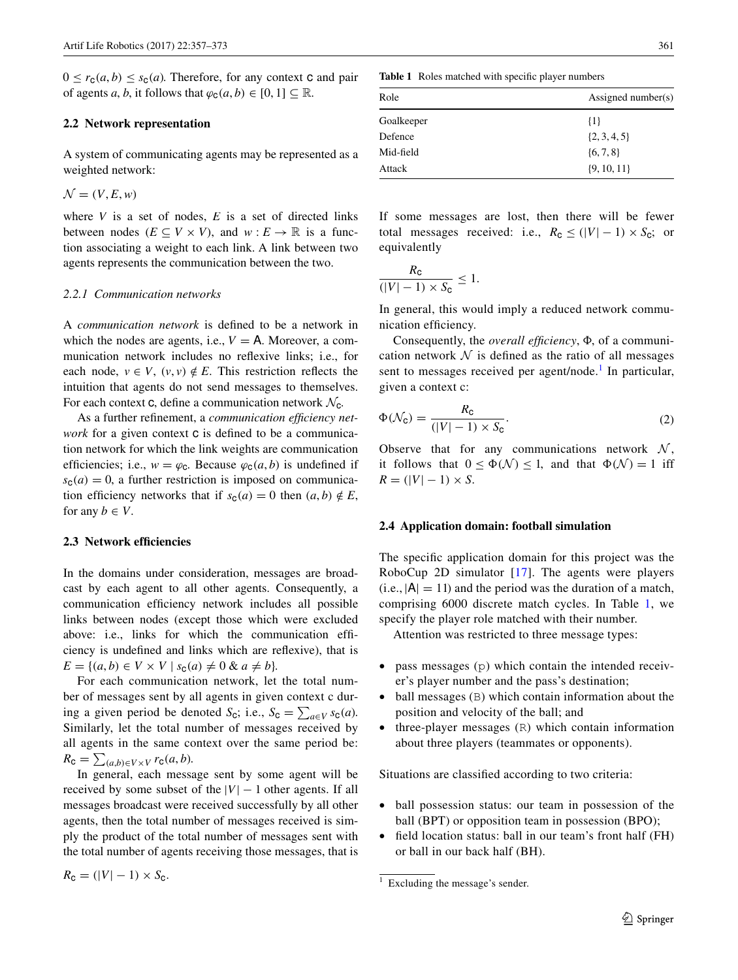$0 \leq r_c(a, b) \leq s_c(a)$ . Therefore, for any context c and pair of agents *a*, *b*, it follows that  $\varphi_c(a, b) \in [0, 1] \subseteq \mathbb{R}$ .

# **2.2 Network representation**

A system of communicating agents may be represented as a weighted network:

$$
\mathcal{N} = (V, E, w)
$$

where  $V$  is a set of nodes,  $E$  is a set of directed links between nodes  $(E \subseteq V \times V)$ , and  $w : E \to \mathbb{R}$  is a function associating a weight to each link. A link between two agents represents the communication between the two.

#### *2.2.1 Communication networks*

A *communication network* is defned to be a network in which the nodes are agents, i.e.,  $V = A$ . Moreover, a communication network includes no refexive links; i.e., for each node,  $v \in V$ ,  $(v, v) \notin E$ . This restriction reflects the intuition that agents do not send messages to themselves. For each context c, define a communication network  $\mathcal{N}_c$ .

As a further refnement, a *communication effciency network* for a given context **c** is defined to be a communication network for which the link weights are communication efficiencies; i.e.,  $w = \varphi_c$ . Because  $\varphi_c(a, b)$  is undefined if  $s_c(a) = 0$ , a further restriction is imposed on communication efficiency networks that if  $s_c(a) = 0$  then  $(a, b) \notin E$ , for any  $b \in V$ .

#### **2.3 Network effciencies**

In the domains under consideration, messages are broadcast by each agent to all other agents. Consequently, a communication efficiency network includes all possible links between nodes (except those which were excluded above: i.e., links for which the communication effciency is undefned and links which are refexive), that is  $E = \{(a, b) \in V \times V \mid s_c(a) \neq 0 \& a \neq b\}.$ 

For each communication network, let the total number of messages sent by all agents in given context c during a given period be denoted *S*<sub>c</sub>; i.e., *S*<sub>c</sub> =  $\sum_{a \in V} s_c(a)$ . Similarly, let the total number of messages received by all agents in the same context over the same period be:  $R_{\text{C}} = \sum_{(a,b) \in V \times V} r_{\text{C}}(a,b).$ 

In general, each message sent by some agent will be received by some subset of the  $|V| - 1$  other agents. If all messages broadcast were received successfully by all other agents, then the total number of messages received is simply the product of the total number of messages sent with the total number of agents receiving those messages, that is <span id="page-4-1"></span>**Table 1** Roles matched with specifc player numbers

| Role       | Assigned number(s) |  |  |
|------------|--------------------|--|--|
| Goalkeeper | $\{1\}$            |  |  |
| Defence    | $\{2, 3, 4, 5\}$   |  |  |
| Mid-field  | $\{6, 7, 8\}$      |  |  |
| Attack     | $\{9, 10, 11\}$    |  |  |

If some messages are lost, then there will be fewer total messages received: i.e.,  $R_c \leq (|V| - 1) \times S_c$ ; or equivalently

$$
\frac{R_{\rm C}}{(|V|-1)\times S_{\rm C}}\leq 1.
$$

In general, this would imply a reduced network communication efficiency.

Consequently, the *overall efficiency*,  $\Phi$ , of a communication network  $\mathcal N$  is defined as the ratio of all messages sent to messages received per agent/node.<sup>[1](#page-4-0)</sup> In particular, given a context c:

<span id="page-4-2"></span>
$$
\Phi(\mathcal{N}_{\mathsf{C}}) = \frac{R_{\mathsf{C}}}{(|V| - 1) \times S_{\mathsf{C}}}.\tag{2}
$$

Observe that for any communications network  $N$ , it follows that  $0 \leq \Phi(\mathcal{N}) \leq 1$ , and that  $\Phi(\mathcal{N}) = 1$  iff  $R = (|V| - 1) \times S$ .

#### **2.4 Application domain: football simulation**

The specifc application domain for this project was the RoboCup 2D simulator [[17\]](#page-14-3). The agents were players  $(i.e.,  $|A| = 11$ ) and the period was the duration of a match,$ comprising 6000 discrete match cycles. In Table [1](#page-4-1), we specify the player role matched with their number.

Attention was restricted to three message types:

- pass messages  $(p)$  which contain the intended receiver's player number and the pass's destination;
- ball messages (B) which contain information about the position and velocity of the ball; and
- $\bullet$  three-player messages  $(R)$  which contain information about three players (teammates or opponents).

Situations are classifed according to two criteria:

- ball possession status: our team in possession of the ball (BPT) or opposition team in possession (BPO);
- field location status: ball in our team's front half (FH) or ball in our back half (BH).

 $R_c = (|V| - 1) \times S_c$ .

<span id="page-4-0"></span><sup>&</sup>lt;sup>1</sup> Excluding the message's sender.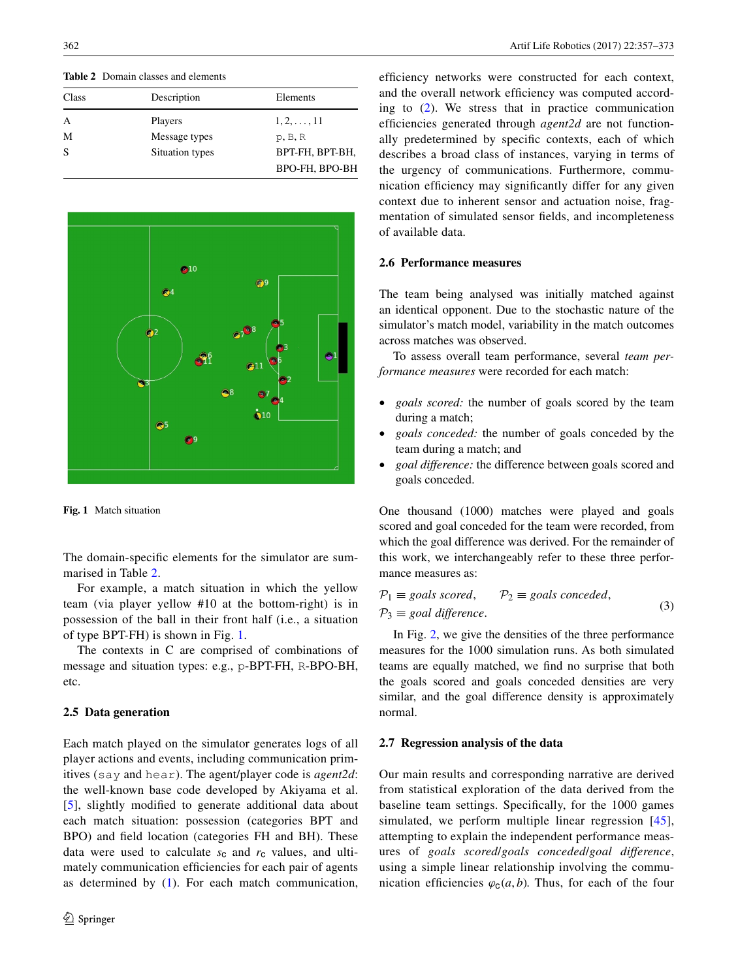<span id="page-5-0"></span>**Table 2** Domain classes and elements

| Class    | Description     | Elements           |
|----------|-----------------|--------------------|
| A        | Players         | $1, 2, \ldots, 11$ |
| М        | Message types   | p, B, R            |
| <b>S</b> | Situation types | BPT-FH, BPT-BH,    |
|          |                 | BPO-FH, BPO-BH     |



<span id="page-5-1"></span>**Fig. 1** Match situation

The domain-specifc elements for the simulator are summarised in Table [2](#page-5-0).

For example, a match situation in which the yellow team (via player yellow #10 at the bottom-right) is in possession of the ball in their front half (i.e., a situation of type BPT-FH) is shown in Fig. [1.](#page-5-1)

The contexts in C are comprised of combinations of message and situation types: e.g., p-BPT-FH, R-BPO-BH, etc.

## **2.5 Data generation**

Each match played on the simulator generates logs of all player actions and events, including communication primitives (say and hear). The agent/player code is *agent2d*: the well-known base code developed by Akiyama et al. [\[5\]](#page-14-19), slightly modifed to generate additional data about each match situation: possession (categories BPT and BPO) and feld location (categories FH and BH). These data were used to calculate  $s_c$  and  $r_c$  values, and ultimately communication efficiencies for each pair of agents as determined by [\(1](#page-3-1)). For each match communication,

efficiency networks were constructed for each context, and the overall network efficiency was computed according to [\(2\)](#page-4-2). We stress that in practice communication efficiencies generated through *agent2d* are not functionally predetermined by specifc contexts, each of which describes a broad class of instances, varying in terms of the urgency of communications. Furthermore, communication effciency may signifcantly differ for any given context due to inherent sensor and actuation noise, fragmentation of simulated sensor felds, and incompleteness of available data.

## **2.6 Performance measures**

The team being analysed was initially matched against an identical opponent. Due to the stochastic nature of the simulator's match model, variability in the match outcomes across matches was observed.

To assess overall team performance, several *team performance measures* were recorded for each match:

- *goals scored:* the number of goals scored by the team during a match;
- *goals conceded:* the number of goals conceded by the team during a match; and
- goal difference: the difference between goals scored and goals conceded.

One thousand (1000) matches were played and goals scored and goal conceded for the team were recorded, from which the goal difference was derived. For the remainder of this work, we interchangeably refer to these three performance measures as:

$$
\mathcal{P}_1 \equiv \text{goals scored}, \qquad \mathcal{P}_2 \equiv \text{goals concealed},
$$
  

$$
\mathcal{P}_3 \equiv \text{goal difference}.
$$
 (3)

In Fig. [2](#page-6-1), we give the densities of the three performance measures for the 1000 simulation runs. As both simulated teams are equally matched, we fnd no surprise that both the goals scored and goals conceded densities are very similar, and the goal difference density is approximately normal.

## <span id="page-5-2"></span>**2.7 Regression analysis of the data**

Our main results and corresponding narrative are derived from statistical exploration of the data derived from the baseline team settings. Specifcally, for the 1000 games simulated, we perform multiple linear regression [[45](#page-15-37)], attempting to explain the independent performance measures of *goals scored*/*goals conceded*/*goal difference*, using a simple linear relationship involving the communication efficiencies  $\varphi_c(a, b)$ . Thus, for each of the four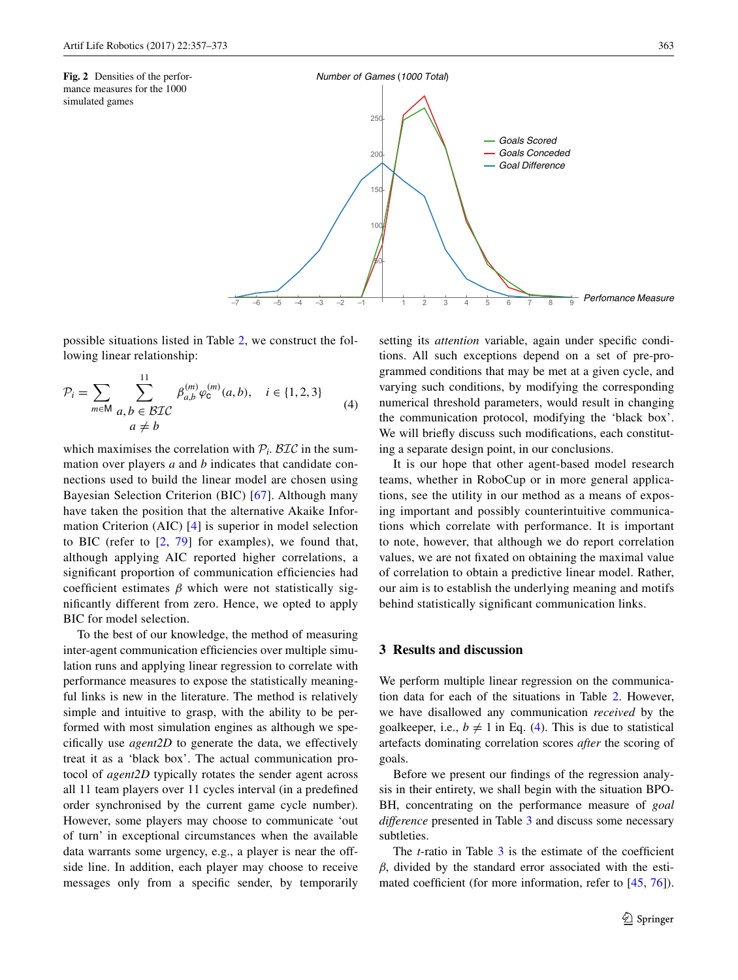<span id="page-6-1"></span>



possible situations listed in Table [2](#page-5-0), we construct the following linear relationship:

$$
\mathcal{P}_{i} = \sum_{m \in \mathsf{M}} \sum_{\substack{a, b \in \mathcal{BIC} \\ a \neq b}}^{11} \beta_{a,b}^{(m)} \varphi_{c}^{(m)}(a,b), \quad i \in \{1, 2, 3\} \tag{4}
$$

which maximises the correlation with  $P_i$ . BIC in the summation over players *a* and *b* indicates that candidate connections used to build the linear model are chosen using Bayesian Selection Criterion (BIC) [\[67\]](#page-16-19). Although many have taken the position that the alternative Akaike Information Criterion (AIC) [[4](#page-14-20)] is superior in model selection to BIC (refer to  $[2, 79]$  $[2, 79]$  $[2, 79]$  $[2, 79]$  for examples), we found that, although applying AIC reported higher correlations, a significant proportion of communication efficiencies had coefficient estimates  $\beta$  which were not statistically signifcantly different from zero. Hence, we opted to apply BIC for model selection.

To the best of our knowledge, the method of measuring inter-agent communication efficiencies over multiple simulation runs and applying linear regression to correlate with performance measures to expose the statistically meaningful links is new in the literature. The method is relatively simple and intuitive to grasp, with the ability to be performed with most simulation engines as although we specifcally use *agent2D* to generate the data, we effectively treat it as a 'black box'. The actual communication protocol of *agent2D* typically rotates the sender agent across all 11 team players over 11 cycles interval (in a predefned order synchronised by the current game cycle number). However, some players may choose to communicate 'out of turn' in exceptional circumstances when the available data warrants some urgency, e.g., a player is near the offside line. In addition, each player may choose to receive messages only from a specifc sender, by temporarily <span id="page-6-2"></span>setting its *attention* variable, again under specific conditions. All such exceptions depend on a set of pre-programmed conditions that may be met at a given cycle, and varying such conditions, by modifying the corresponding numerical threshold parameters, would result in changing the communication protocol, modifying the 'black box'. We will briefly discuss such modifications, each constituting a separate design point, in our conclusions.

It is our hope that other agent-based model research teams, whether in RoboCup or in more general applications, see the utility in our method as a means of exposing important and possibly counterintuitive communications which correlate with performance. It is important to note, however, that although we do report correlation values, we are not fxated on obtaining the maximal value of correlation to obtain a predictive linear model. Rather, our aim is to establish the underlying meaning and motifs behind statistically signifcant communication links.

## <span id="page-6-0"></span>**3 Results and discussion**

We perform multiple linear regression on the communication data for each of the situations in Table [2](#page-5-0). However, we have disallowed any communication *received* by the goalkeeper, i.e.,  $b \neq 1$  in Eq. [\(4](#page-6-2)). This is due to statistical artefacts dominating correlation scores *after* the scoring of goals.

Before we present our fndings of the regression analysis in their entirety, we shall begin with the situation BPO-BH, concentrating on the performance measure of *goal difference* presented in Table [3](#page-7-0) and discuss some necessary subtleties.

The *t*-ratio in Table [3](#page-7-0) is the estimate of the coefficient  $\beta$ , divided by the standard error associated with the esti-mated coefficient (for more information, refer to [[45,](#page-15-37) [76](#page-16-21)]).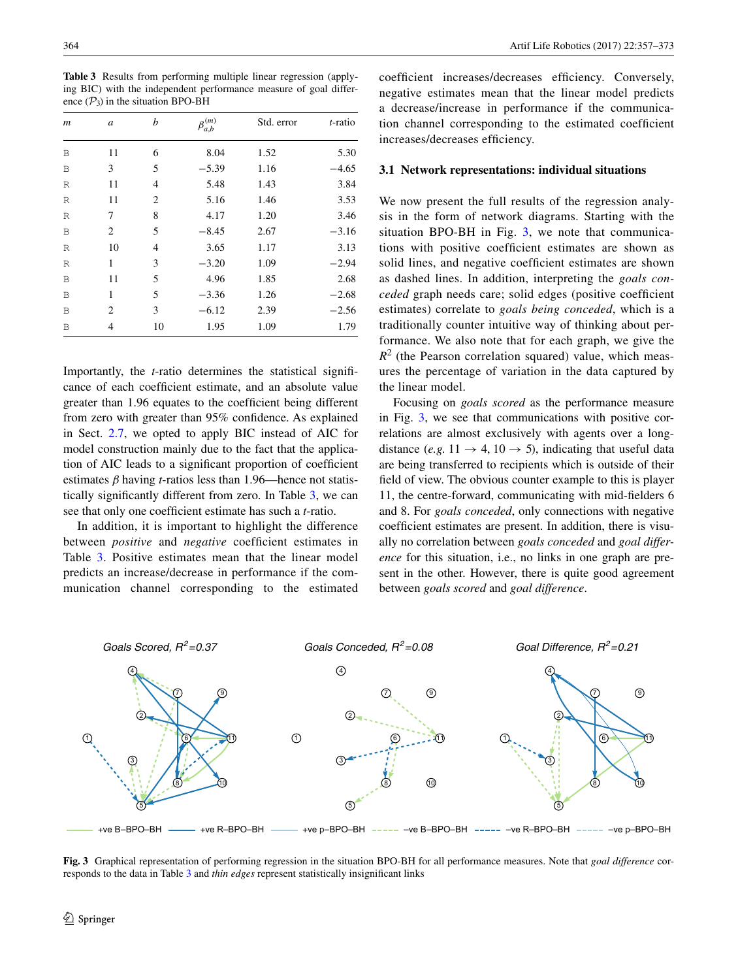<span id="page-7-0"></span>**Table 3** Results from performing multiple linear regression (applying BIC) with the independent performance measure of goal difference  $(\mathcal{P}_3)$  in the situation BPO-BH

| $\boldsymbol{m}$ | a  | b  | $\beta_{a,b}^{(m)}$ | Std. error | <i>t</i> -ratio |
|------------------|----|----|---------------------|------------|-----------------|
| B                | 11 | 6  | 8.04                | 1.52       | 5.30            |
| B                | 3  | 5  | $-5.39$             | 1.16       | $-4.65$         |
| R                | 11 | 4  | 5.48                | 1.43       | 3.84            |
| R                | 11 | 2  | 5.16                | 1.46       | 3.53            |
| R                | 7  | 8  | 4.17                | 1.20       | 3.46            |
| B                | 2  | 5  | $-8.45$             | 2.67       | $-3.16$         |
| R                | 10 | 4  | 3.65                | 1.17       | 3.13            |
| R                | 1  | 3  | $-3.20$             | 1.09       | $-2.94$         |
| B                | 11 | 5  | 4.96                | 1.85       | 2.68            |
| B                | 1  | 5  | $-3.36$             | 1.26       | $-2.68$         |
| B                | 2  | 3  | $-6.12$             | 2.39       | $-2.56$         |
| B                | 4  | 10 | 1.95                | 1.09       | 1.79            |

Importantly, the *t*-ratio determines the statistical signifcance of each coeffcient estimate, and an absolute value greater than 1.96 equates to the coeffcient being different from zero with greater than 95% confdence. As explained in Sect. [2.7](#page-5-2), we opted to apply BIC instead of AIC for model construction mainly due to the fact that the application of AIC leads to a significant proportion of coefficient estimates  $\beta$  having *t*-ratios less than 1.96—hence not statistically signifcantly different from zero. In Table [3,](#page-7-0) we can see that only one coeffcient estimate has such a *t*-ratio.

In addition, it is important to highlight the difference between *positive* and *negative* coefficient estimates in Table [3](#page-7-0). Positive estimates mean that the linear model predicts an increase/decrease in performance if the communication channel corresponding to the estimated coefficient increases/decreases efficiency. Conversely, negative estimates mean that the linear model predicts a decrease/increase in performance if the communication channel corresponding to the estimated coefficient increases/decreases efficiency.

## **3.1 Network representations: individual situations**

We now present the full results of the regression analysis in the form of network diagrams. Starting with the situation BPO-BH in Fig. [3](#page-7-1), we note that communications with positive coefficient estimates are shown as solid lines, and negative coefficient estimates are shown as dashed lines. In addition, interpreting the *goals conceded* graph needs care; solid edges (positive coeffcient estimates) correlate to *goals being conceded*, which is a traditionally counter intuitive way of thinking about performance. We also note that for each graph, we give the  $R^2$  (the Pearson correlation squared) value, which measures the percentage of variation in the data captured by the linear model.

Focusing on *goals scored* as the performance measure in Fig. [3,](#page-7-1) we see that communications with positive correlations are almost exclusively with agents over a longdistance (*e.g.*  $11 \rightarrow 4$ ,  $10 \rightarrow 5$ ), indicating that useful data are being transferred to recipients which is outside of their feld of view. The obvious counter example to this is player 11, the centre-forward, communicating with mid-felders 6 and 8. For *goals conceded*, only connections with negative coefficient estimates are present. In addition, there is visually no correlation between *goals conceded* and *goal difference* for this situation, i.e., no links in one graph are present in the other. However, there is quite good agreement between *goals scored* and *goal difference*.



<span id="page-7-1"></span>**Fig. 3** Graphical representation of performing regression in the situation BPO-BH for all performance measures. Note that *goal difference* corresponds to the data in Table [3](#page-7-0) and *thin edges* represent statistically insignifcant links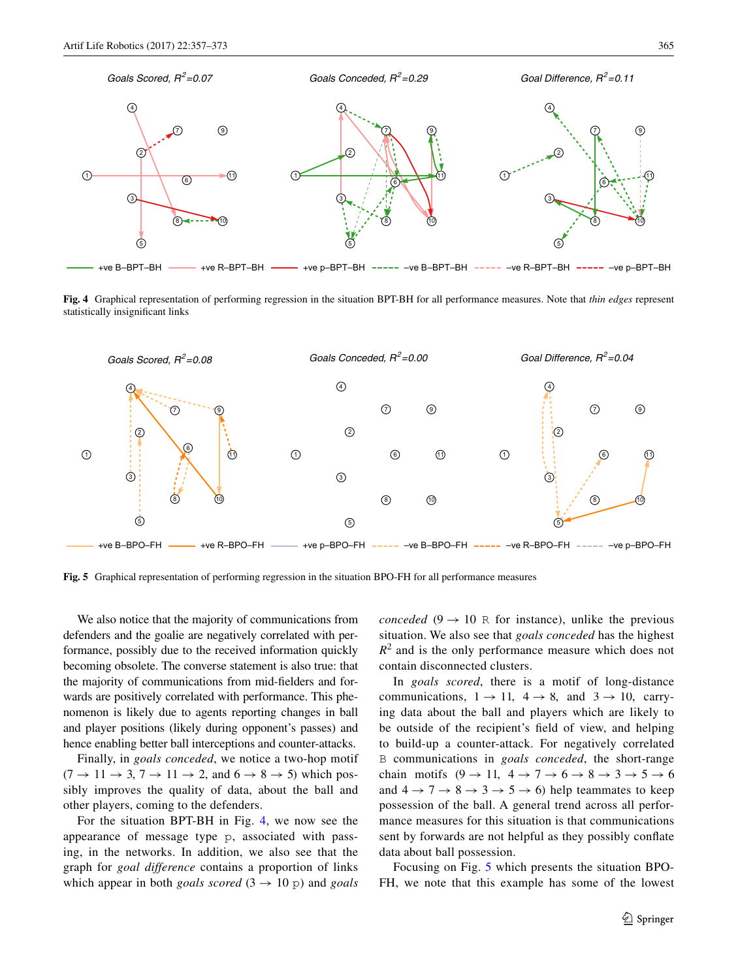

<span id="page-8-0"></span>**Fig. 4** Graphical representation of performing regression in the situation BPT-BH for all performance measures. Note that *thin edges* represent statistically insignifcant links



<span id="page-8-1"></span>**Fig. 5** Graphical representation of performing regression in the situation BPO-FH for all performance measures

We also notice that the majority of communications from defenders and the goalie are negatively correlated with performance, possibly due to the received information quickly becoming obsolete. The converse statement is also true: that the majority of communications from mid-felders and forwards are positively correlated with performance. This phenomenon is likely due to agents reporting changes in ball and player positions (likely during opponent's passes) and hence enabling better ball interceptions and counter-attacks.

Finally, in *goals conceded*, we notice a two-hop motif  $(7 \rightarrow 11 \rightarrow 3, 7 \rightarrow 11 \rightarrow 2,$  and  $6 \rightarrow 8 \rightarrow 5)$  which possibly improves the quality of data, about the ball and other players, coming to the defenders.

For the situation BPT-BH in Fig. [4,](#page-8-0) we now see the appearance of message type p, associated with passing, in the networks. In addition, we also see that the graph for *goal difference* contains a proportion of links which appear in both *goals scored*  $(3 \rightarrow 10 \text{ p})$  and *goals*  *conceded* (9  $\rightarrow$  10 R for instance), unlike the previous situation. We also see that *goals conceded* has the highest  $R<sup>2</sup>$  and is the only performance measure which does not contain disconnected clusters.

In *goals scored*, there is a motif of long-distance communications,  $1 \rightarrow 11$ ,  $4 \rightarrow 8$ , and  $3 \rightarrow 10$ , carrying data about the ball and players which are likely to be outside of the recipient's feld of view, and helping to build-up a counter-attack. For negatively correlated B communications in *goals conceded*, the short-range chain motifs  $(9 \rightarrow 11, 4 \rightarrow 7 \rightarrow 6 \rightarrow 8 \rightarrow 3 \rightarrow 5 \rightarrow 6$ and  $4 \rightarrow 7 \rightarrow 8 \rightarrow 3 \rightarrow 5 \rightarrow 6$ ) help teammates to keep possession of the ball. A general trend across all performance measures for this situation is that communications sent by forwards are not helpful as they possibly confate data about ball possession.

Focusing on Fig. [5](#page-8-1) which presents the situation BPO-FH, we note that this example has some of the lowest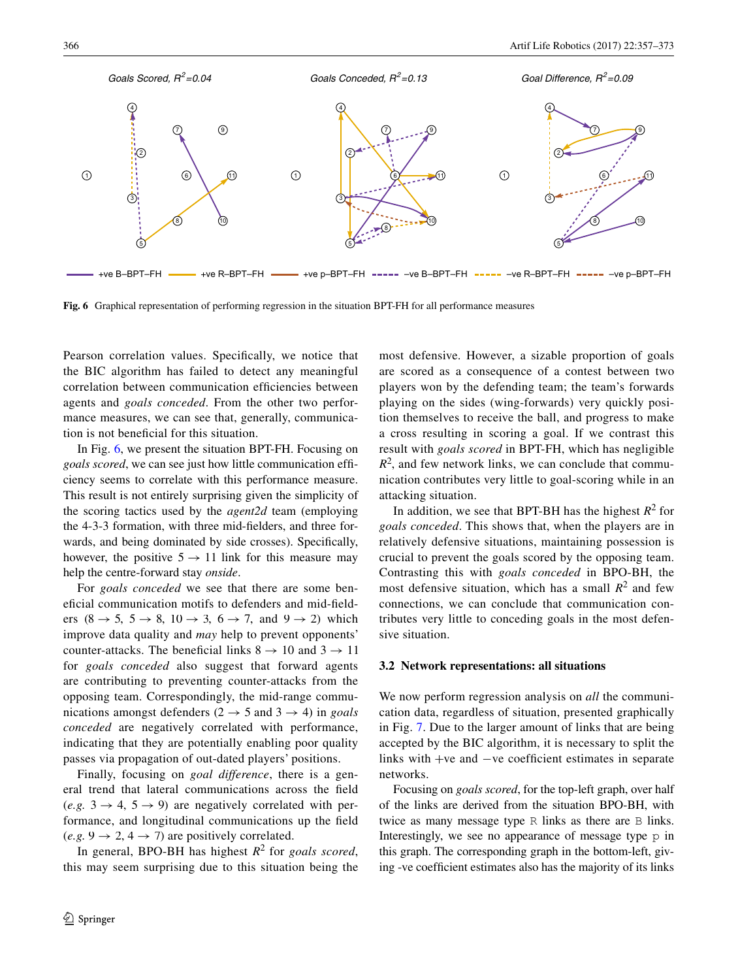

<span id="page-9-0"></span>**Fig. 6** Graphical representation of performing regression in the situation BPT-FH for all performance measures

Pearson correlation values. Specifcally, we notice that the BIC algorithm has failed to detect any meaningful correlation between communication effciencies between agents and *goals conceded*. From the other two performance measures, we can see that, generally, communication is not benefcial for this situation.

In Fig. [6](#page-9-0), we present the situation BPT-FH. Focusing on *goals scored*, we can see just how little communication effciency seems to correlate with this performance measure. This result is not entirely surprising given the simplicity of the scoring tactics used by the *agent2d* team (employing the 4-3-3 formation, with three mid-felders, and three forwards, and being dominated by side crosses). Specifcally, however, the positive  $5 \rightarrow 11$  link for this measure may help the centre-forward stay *onside*.

For *goals conceded* we see that there are some benefcial communication motifs to defenders and mid-felders  $(8 \rightarrow 5, 5 \rightarrow 8, 10 \rightarrow 3, 6 \rightarrow 7, \text{ and } 9 \rightarrow 2)$  which improve data quality and *may* help to prevent opponents' counter-attacks. The beneficial links  $8 \rightarrow 10$  and  $3 \rightarrow 11$ for *goals conceded* also suggest that forward agents are contributing to preventing counter-attacks from the opposing team. Correspondingly, the mid-range communications amongst defenders ( $2 \rightarrow 5$  and  $3 \rightarrow 4$ ) in *goals conceded* are negatively correlated with performance, indicating that they are potentially enabling poor quality passes via propagation of out-dated players' positions.

Finally, focusing on *goal difference*, there is a general trend that lateral communications across the feld  $(e.g. 3 \rightarrow 4, 5 \rightarrow 9)$  are negatively correlated with performance, and longitudinal communications up the feld  $(e.g. 9 \rightarrow 2, 4 \rightarrow 7)$  are positively correlated.

In general, BPO-BH has highest *R*2 for *goals scored*, this may seem surprising due to this situation being the most defensive. However, a sizable proportion of goals are scored as a consequence of a contest between two players won by the defending team; the team's forwards playing on the sides (wing-forwards) very quickly position themselves to receive the ball, and progress to make a cross resulting in scoring a goal. If we contrast this result with *goals scored* in BPT-FH, which has negligible  $R<sup>2</sup>$ , and few network links, we can conclude that communication contributes very little to goal-scoring while in an attacking situation.

In addition, we see that BPT-BH has the highest  $R^2$  for *goals conceded*. This shows that, when the players are in relatively defensive situations, maintaining possession is crucial to prevent the goals scored by the opposing team. Contrasting this with *goals conceded* in BPO-BH, the most defensive situation, which has a small  $R^2$  and few connections, we can conclude that communication contributes very little to conceding goals in the most defensive situation.

#### **3.2 Network representations: all situations**

We now perform regression analysis on *all* the communication data, regardless of situation, presented graphically in Fig. [7](#page-10-0). Due to the larger amount of links that are being accepted by the BIC algorithm, it is necessary to split the links with +ve and −ve coeffcient estimates in separate networks.

Focusing on *goals scored*, for the top-left graph, over half of the links are derived from the situation BPO-BH, with twice as many message type R links as there are B links. Interestingly, we see no appearance of message type p in this graph. The corresponding graph in the bottom-left, giving -ve coeffcient estimates also has the majority of its links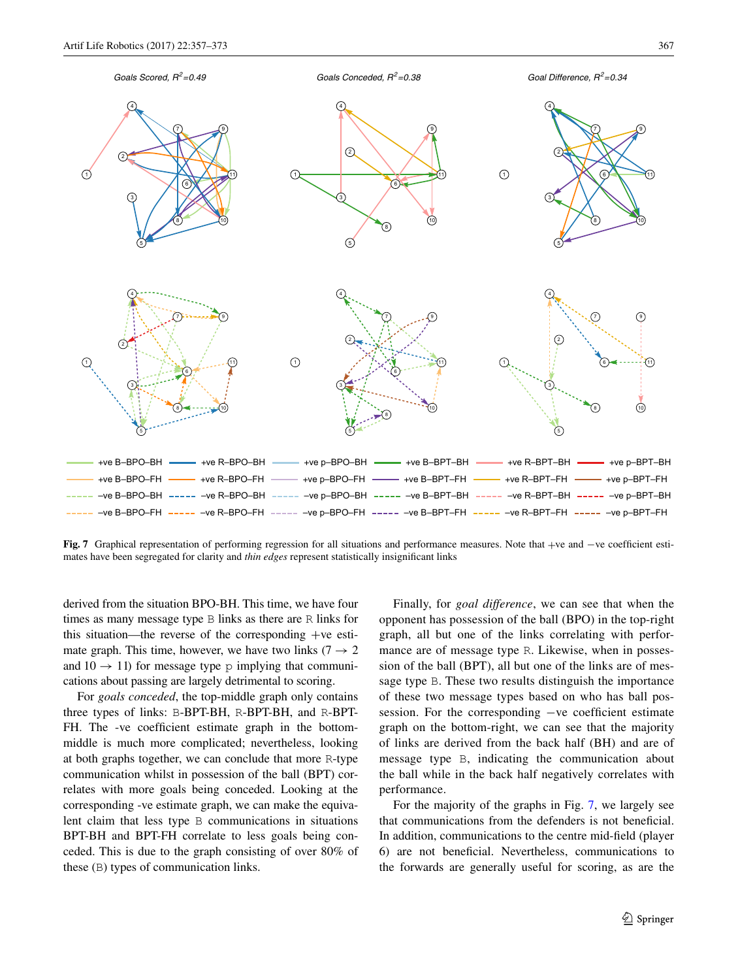

<span id="page-10-0"></span>**Fig. 7** Graphical representation of performing regression for all situations and performance measures. Note that +ve and −ve coeffcient estimates have been segregated for clarity and *thin edges* represent statistically insignifcant links

derived from the situation BPO-BH. This time, we have four times as many message type B links as there are R links for this situation—the reverse of the corresponding +ve estimate graph. This time, however, we have two links ( $7 \rightarrow 2$ ) and  $10 \rightarrow 11$ ) for message type p implying that communications about passing are largely detrimental to scoring.

For *goals conceded*, the top-middle graph only contains three types of links: B-BPT-BH, R-BPT-BH, and R-BPT-FH. The -ve coefficient estimate graph in the bottommiddle is much more complicated; nevertheless, looking at both graphs together, we can conclude that more R-type communication whilst in possession of the ball (BPT) correlates with more goals being conceded. Looking at the corresponding -ve estimate graph, we can make the equivalent claim that less type B communications in situations BPT-BH and BPT-FH correlate to less goals being conceded. This is due to the graph consisting of over 80% of these (B) types of communication links.

Finally, for *goal difference*, we can see that when the opponent has possession of the ball (BPO) in the top-right graph, all but one of the links correlating with performance are of message type R. Likewise, when in possession of the ball (BPT), all but one of the links are of message type B. These two results distinguish the importance of these two message types based on who has ball possession. For the corresponding −ve coefficient estimate graph on the bottom-right, we can see that the majority of links are derived from the back half (BH) and are of message type B, indicating the communication about the ball while in the back half negatively correlates with performance.

For the majority of the graphs in Fig. [7,](#page-10-0) we largely see that communications from the defenders is not benefcial. In addition, communications to the centre mid-feld (player 6) are not benefcial. Nevertheless, communications to the forwards are generally useful for scoring, as are the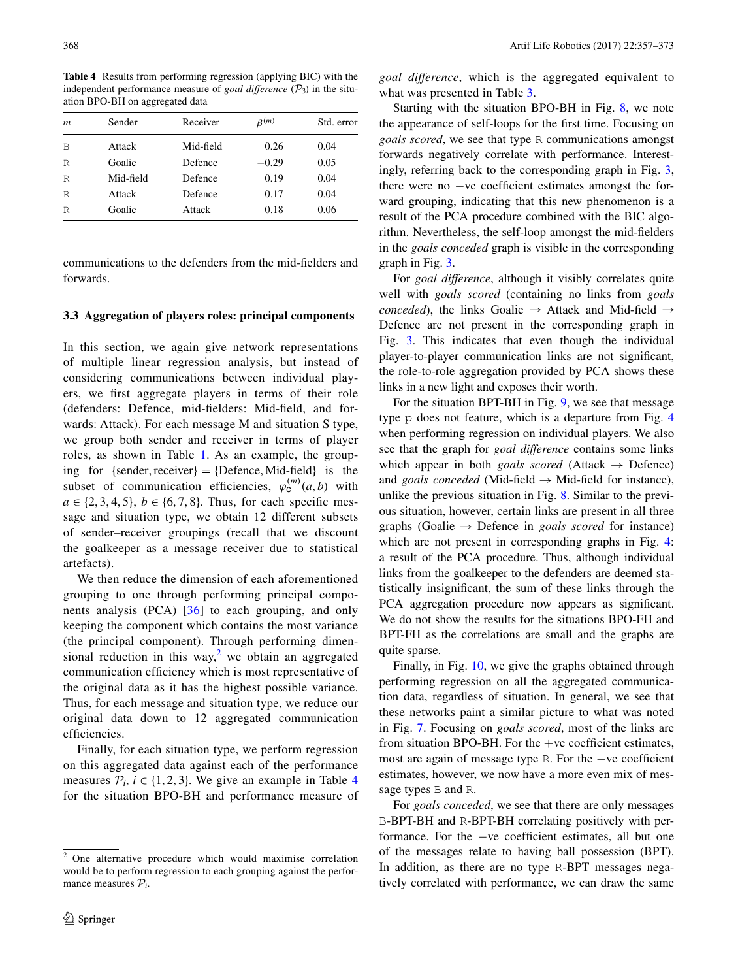<span id="page-11-1"></span>**Table 4** Results from performing regression (applying BIC) with the independent performance measure of *goal difference*  $(\mathcal{P}_3)$  in the situation BPO-BH on aggregated data

| m | Sender    | Receiver  | $\beta^{(m)}$ | Std. error |
|---|-----------|-----------|---------------|------------|
| B | Attack    | Mid-field | 0.26          | 0.04       |
| R | Goalie    | Defence   | $-0.29$       | 0.05       |
| R | Mid-field | Defence   | 0.19          | 0.04       |
| R | Attack    | Defence   | 0.17          | 0.04       |
| R | Goalie    | Attack    | 0.18          | 0.06       |

communications to the defenders from the mid-felders and forwards.

## **3.3 Aggregation of players roles: principal components**

In this section, we again give network representations of multiple linear regression analysis, but instead of considering communications between individual players, we frst aggregate players in terms of their role (defenders: Defence, mid-felders: Mid-feld, and forwards: Attack). For each message M and situation S type, we group both sender and receiver in terms of player roles, as shown in Table [1.](#page-4-1) As an example, the grouping for {sender, receiver} = {Defence, Mid-field} is the subset of communication efficiencies,  $\varphi_c^{(m)}(a, b)$  with  $a \in \{2, 3, 4, 5\}, b \in \{6, 7, 8\}.$  Thus, for each specific message and situation type, we obtain 12 different subsets of sender–receiver groupings (recall that we discount the goalkeeper as a message receiver due to statistical artefacts).

We then reduce the dimension of each aforementioned grouping to one through performing principal components analysis (PCA) [[36](#page-15-38)] to each grouping, and only keeping the component which contains the most variance (the principal component). Through performing dimen-sional reduction in this way,<sup>[2](#page-11-0)</sup> we obtain an aggregated communication efficiency which is most representative of the original data as it has the highest possible variance. Thus, for each message and situation type, we reduce our original data down to 12 aggregated communication efficiencies.

Finally, for each situation type, we perform regression on this aggregated data against each of the performance measures  $P_i$ ,  $i \in \{1, 2, 3\}$ . We give an example in Table [4](#page-11-1) for the situation BPO-BH and performance measure of

*goal difference*, which is the aggregated equivalent to what was presented in Table [3](#page-7-0).

Starting with the situation BPO-BH in Fig. [8](#page-12-0), we note the appearance of self-loops for the frst time. Focusing on *goals scored*, we see that type R communications amongst forwards negatively correlate with performance. Interestingly, referring back to the corresponding graph in Fig. [3,](#page-7-1) there were no −ve coeffcient estimates amongst the forward grouping, indicating that this new phenomenon is a result of the PCA procedure combined with the BIC algorithm. Nevertheless, the self-loop amongst the mid-felders in the *goals conceded* graph is visible in the corresponding graph in Fig. [3](#page-7-1).

For *goal difference*, although it visibly correlates quite well with *goals scored* (containing no links from *goals conceded*), the links Goalie  $\rightarrow$  Attack and Mid-field  $\rightarrow$ Defence are not present in the corresponding graph in Fig. [3.](#page-7-1) This indicates that even though the individual player-to-player communication links are not signifcant, the role-to-role aggregation provided by PCA shows these links in a new light and exposes their worth.

For the situation BPT-BH in Fig. [9,](#page-12-1) we see that message type p does not feature, which is a departure from Fig. [4](#page-8-0) when performing regression on individual players. We also see that the graph for *goal difference* contains some links which appear in both *goals scored* (Attack  $\rightarrow$  Defence) and *goals conceded* (Mid-field  $\rightarrow$  Mid-field for instance), unlike the previous situation in Fig. [8](#page-12-0). Similar to the previous situation, however, certain links are present in all three graphs (Goalie → Defence in *goals scored* for instance) which are not present in corresponding graphs in Fig. [4](#page-8-0): a result of the PCA procedure. Thus, although individual links from the goalkeeper to the defenders are deemed statistically insignifcant, the sum of these links through the PCA aggregation procedure now appears as signifcant. We do not show the results for the situations BPO-FH and BPT-FH as the correlations are small and the graphs are quite sparse.

Finally, in Fig. [10,](#page-12-2) we give the graphs obtained through performing regression on all the aggregated communication data, regardless of situation. In general, we see that these networks paint a similar picture to what was noted in Fig. [7.](#page-10-0) Focusing on *goals scored*, most of the links are from situation BPO-BH. For the  $+ve$  coefficient estimates, most are again of message type R. For the −ve coeffcient estimates, however, we now have a more even mix of message types B and R.

For *goals conceded*, we see that there are only messages B-BPT-BH and R-BPT-BH correlating positively with performance. For the −ve coeffcient estimates, all but one of the messages relate to having ball possession (BPT). In addition, as there are no type R-BPT messages negatively correlated with performance, we can draw the same

<span id="page-11-0"></span><sup>2</sup> One alternative procedure which would maximise correlation would be to perform regression to each grouping against the performance measures P*i*.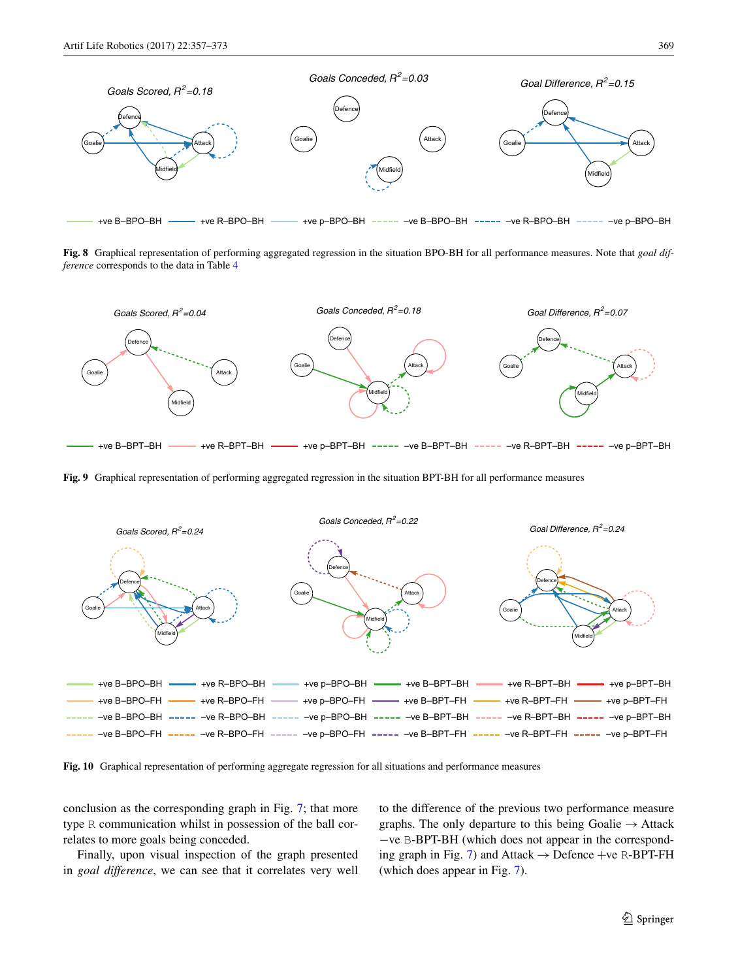

<span id="page-12-0"></span>**Fig. 8** Graphical representation of performing aggregated regression in the situation BPO-BH for all performance measures. Note that *goal difference* corresponds to the data in Table [4](#page-11-1)



<span id="page-12-1"></span>**Fig. 9** Graphical representation of performing aggregated regression in the situation BPT-BH for all performance measures



<span id="page-12-2"></span>**Fig. 10** Graphical representation of performing aggregate regression for all situations and performance measures

conclusion as the corresponding graph in Fig. [7;](#page-10-0) that more type R communication whilst in possession of the ball correlates to more goals being conceded.

Finally, upon visual inspection of the graph presented in *goal difference*, we can see that it correlates very well to the difference of the previous two performance measure graphs. The only departure to this being Goalie  $\rightarrow$  Attack −ve B-BPT-BH (which does not appear in the correspond-ing graph in Fig. [7\)](#page-10-0) and Attack  $\rightarrow$  Defence +ve R-BPT-FH (which does appear in Fig. [7](#page-10-0)).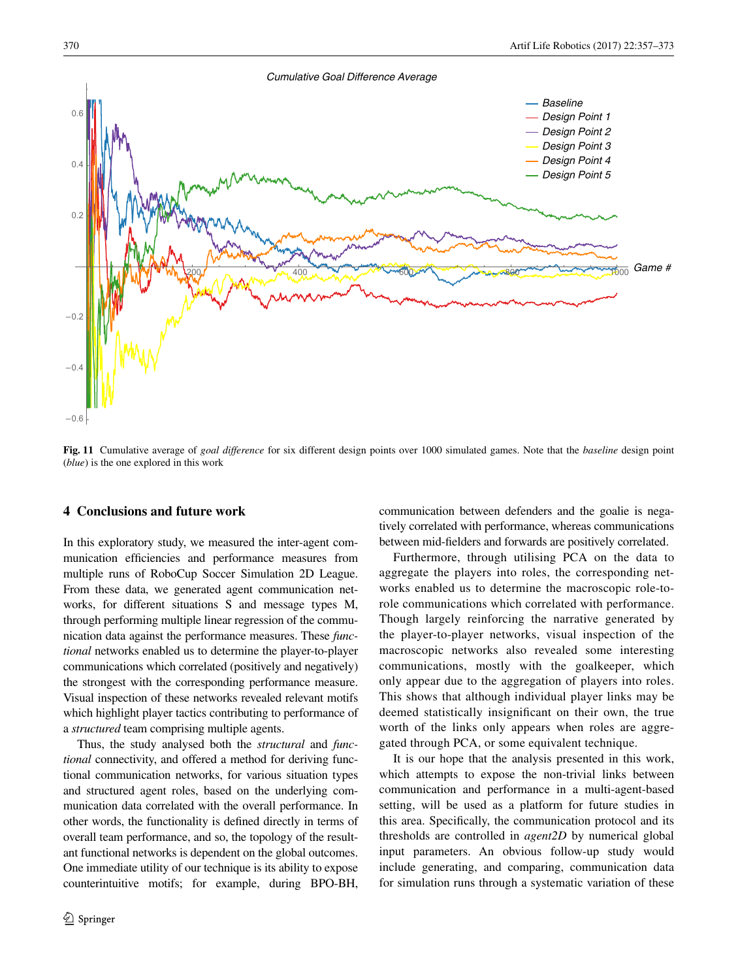

<span id="page-13-1"></span>**Fig. 11** Cumulative average of *goal difference* for six different design points over 1000 simulated games. Note that the *baseline* design point (*blue*) is the one explored in this work

# <span id="page-13-0"></span>**4 Conclusions and future work**

In this exploratory study, we measured the inter-agent communication efficiencies and performance measures from multiple runs of RoboCup Soccer Simulation 2D League. From these data, we generated agent communication networks, for different situations S and message types M, through performing multiple linear regression of the communication data against the performance measures. These *functional* networks enabled us to determine the player-to-player communications which correlated (positively and negatively) the strongest with the corresponding performance measure. Visual inspection of these networks revealed relevant motifs which highlight player tactics contributing to performance of a *structured* team comprising multiple agents.

Thus, the study analysed both the *structural* and *functional* connectivity, and offered a method for deriving functional communication networks, for various situation types and structured agent roles, based on the underlying communication data correlated with the overall performance. In other words, the functionality is defned directly in terms of overall team performance, and so, the topology of the resultant functional networks is dependent on the global outcomes. One immediate utility of our technique is its ability to expose counterintuitive motifs; for example, during BPO-BH,

communication between defenders and the goalie is negatively correlated with performance, whereas communications between mid-felders and forwards are positively correlated.

Furthermore, through utilising PCA on the data to aggregate the players into roles, the corresponding networks enabled us to determine the macroscopic role-torole communications which correlated with performance. Though largely reinforcing the narrative generated by the player-to-player networks, visual inspection of the macroscopic networks also revealed some interesting communications, mostly with the goalkeeper, which only appear due to the aggregation of players into roles. This shows that although individual player links may be deemed statistically insignifcant on their own, the true worth of the links only appears when roles are aggregated through PCA, or some equivalent technique.

It is our hope that the analysis presented in this work, which attempts to expose the non-trivial links between communication and performance in a multi-agent-based setting, will be used as a platform for future studies in this area. Specifcally, the communication protocol and its thresholds are controlled in *agent2D* by numerical global input parameters. An obvious follow-up study would include generating, and comparing, communication data for simulation runs through a systematic variation of these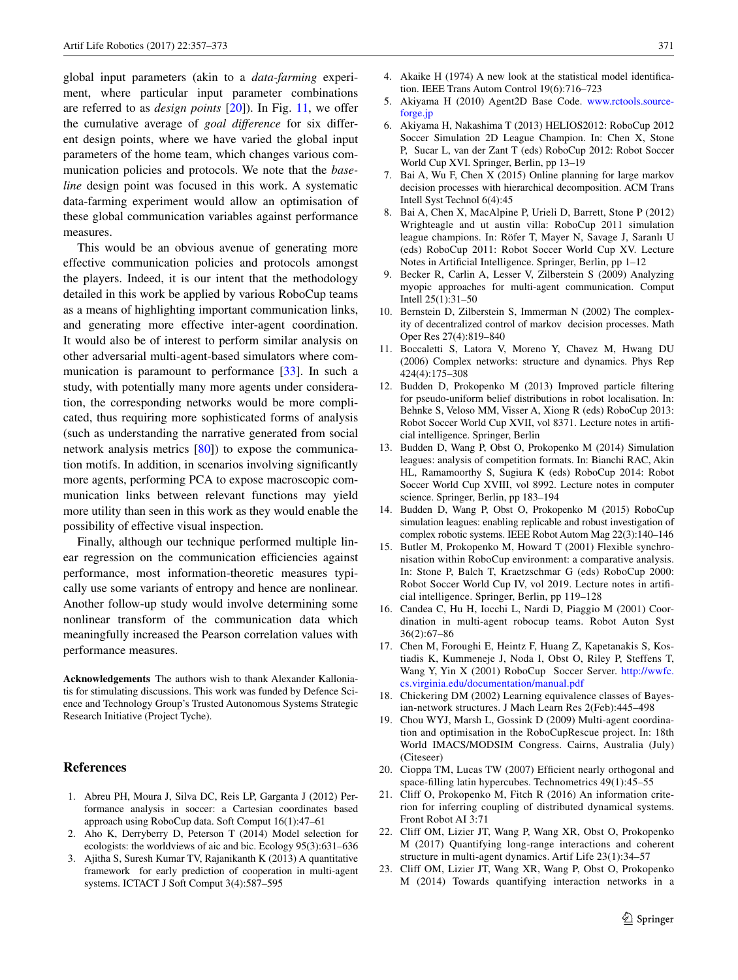global input parameters (akin to a *data-farming* experiment, where particular input parameter combinations are referred to as *design points* [\[20](#page-14-22)]). In Fig. [11,](#page-13-1) we offer the cumulative average of *goal difference* for six different design points, where we have varied the global input parameters of the home team, which changes various communication policies and protocols. We note that the *baseline* design point was focused in this work. A systematic data-farming experiment would allow an optimisation of these global communication variables against performance measures.

This would be an obvious avenue of generating more effective communication policies and protocols amongst the players. Indeed, it is our intent that the methodology detailed in this work be applied by various RoboCup teams as a means of highlighting important communication links, and generating more effective inter-agent coordination. It would also be of interest to perform similar analysis on other adversarial multi-agent-based simulators where com-munication is paramount to performance [\[33](#page-15-1)]. In such a study, with potentially many more agents under consideration, the corresponding networks would be more complicated, thus requiring more sophisticated forms of analysis (such as understanding the narrative generated from social network analysis metrics [[80\]](#page-16-22)) to expose the communication motifs. In addition, in scenarios involving signifcantly more agents, performing PCA to expose macroscopic communication links between relevant functions may yield more utility than seen in this work as they would enable the possibility of effective visual inspection.

Finally, although our technique performed multiple linear regression on the communication effciencies against performance, most information-theoretic measures typically use some variants of entropy and hence are nonlinear. Another follow-up study would involve determining some nonlinear transform of the communication data which meaningfully increased the Pearson correlation values with performance measures.

**Acknowledgements** The authors wish to thank Alexander Kalloniatis for stimulating discussions. This work was funded by Defence Science and Technology Group's Trusted Autonomous Systems Strategic Research Initiative (Project Tyche).

#### **References**

- <span id="page-14-13"></span>1. Abreu PH, Moura J, Silva DC, Reis LP, Garganta J (2012) Performance analysis in soccer: a Cartesian coordinates based approach using RoboCup data. Soft Comput 16(1):47–61
- <span id="page-14-21"></span>2. Aho K, Derryberry D, Peterson T (2014) Model selection for ecologists: the worldviews of aic and bic. Ecology 95(3):631–636
- <span id="page-14-7"></span>3. Ajitha S, Suresh Kumar TV, Rajanikanth K (2013) A quantitative framework for early prediction of cooperation in multi-agent systems. ICTACT J Soft Comput 3(4):587–595
- <span id="page-14-20"></span>4. Akaike H (1974) A new look at the statistical model identifcation. IEEE Trans Autom Control 19(6):716–723
- <span id="page-14-19"></span>5. Akiyama H (2010) Agent2D Base Code. [www.rctools.source](http://www.rctools.sourceforge.jp)[forge.jp](http://www.rctools.sourceforge.jp)
- <span id="page-14-1"></span>6. Akiyama H, Nakashima T (2013) HELIOS2012: RoboCup 2012 Soccer Simulation 2D League Champion. In: Chen X, Stone P, Sucar L, van der Zant T (eds) RoboCup 2012: Robot Soccer World Cup XVI. Springer, Berlin, pp 13–19
- <span id="page-14-12"></span>7. Bai A, Wu F, Chen X (2015) Online planning for large markov decision processes with hierarchical decomposition. ACM Trans Intell Syst Technol 6(4):45
- <span id="page-14-2"></span>8. Bai A, Chen X, MacAlpine P, Urieli D, Barrett, Stone P (2012) Wrighteagle and ut austin villa: RoboCup 2011 simulation league champions. In: Röfer T, Mayer N, Savage J, Saranlı U (eds) RoboCup 2011: Robot Soccer World Cup XV. Lecture Notes in Artifcial Intelligence. Springer, Berlin, pp 1–12
- <span id="page-14-9"></span>9. Becker R, Carlin A, Lesser V, Zilberstein S (2009) Analyzing myopic approaches for multi-agent communication. Comput Intell 25(1):31–50
- <span id="page-14-8"></span>10. Bernstein D, Zilberstein S, Immerman N (2002) The complexity of decentralized control of markov decision processes. Math Oper Res 27(4):819–840
- <span id="page-14-16"></span>11. Boccaletti S, Latora V, Moreno Y, Chavez M, Hwang DU (2006) Complex networks: structure and dynamics. Phys Rep 424(4):175–308
- <span id="page-14-5"></span>12. Budden D, Prokopenko M (2013) Improved particle fltering for pseudo-uniform belief distributions in robot localisation. In: Behnke S, Veloso MM, Visser A, Xiong R (eds) RoboCup 2013: Robot Soccer World Cup XVII, vol 8371. Lecture notes in artifcial intelligence. Springer, Berlin
- <span id="page-14-6"></span>13. Budden D, Wang P, Obst O, Prokopenko M (2014) Simulation leagues: analysis of competition formats. In: Bianchi RAC, Akin HL, Ramamoorthy S, Sugiura K (eds) RoboCup 2014: Robot Soccer World Cup XVIII, vol 8992. Lecture notes in computer science. Springer, Berlin, pp 183–194
- <span id="page-14-4"></span>14. Budden D, Wang P, Obst O, Prokopenko M (2015) RoboCup simulation leagues: enabling replicable and robust investigation of complex robotic systems. IEEE Robot Autom Mag 22(3):140–146
- <span id="page-14-0"></span>15. Butler M, Prokopenko M, Howard T (2001) Flexible synchronisation within RoboCup environment: a comparative analysis. In: Stone P, Balch T, Kraetzschmar G (eds) RoboCup 2000: Robot Soccer World Cup IV, vol 2019. Lecture notes in artifcial intelligence. Springer, Berlin, pp 119–128
- <span id="page-14-11"></span>16. Candea C, Hu H, Iocchi L, Nardi D, Piaggio M (2001) Coordination in multi-agent robocup teams. Robot Auton Syst 36(2):67–86
- <span id="page-14-3"></span>17. Chen M, Foroughi E, Heintz F, Huang Z, Kapetanakis S, Kostiadis K, Kummeneje J, Noda I, Obst O, Riley P, Steffens T, Wang Y, Yin X (2001) RoboCup Soccer Server. [http://wwfc.](http://wwfc.cs.virginia.edu/documentation/manual.pdf) [cs.virginia.edu/documentation/manual.pdf](http://wwfc.cs.virginia.edu/documentation/manual.pdf)
- <span id="page-14-17"></span>18. Chickering DM (2002) Learning equivalence classes of Bayesian-network structures. J Mach Learn Res 2(Feb):445–498
- <span id="page-14-10"></span>19. Chou WYJ, Marsh L, Gossink D (2009) Multi-agent coordination and optimisation in the RoboCupRescue project. In: 18th World IMACS/MODSIM Congress. Cairns, Australia (July) (Citeseer)
- <span id="page-14-22"></span>20. Cioppa TM, Lucas TW (2007) Efficient nearly orthogonal and space-flling latin hypercubes. Technometrics 49(1):45–55
- <span id="page-14-18"></span>21. Cliff O, Prokopenko M, Fitch R (2016) An information criterion for inferring coupling of distributed dynamical systems. Front Robot AI 3:71
- <span id="page-14-14"></span>22. Cliff OM, Lizier JT, Wang P, Wang XR, Obst O, Prokopenko M (2017) Quantifying long-range interactions and coherent structure in multi-agent dynamics. Artif Life 23(1):34–57
- <span id="page-14-15"></span>23. Cliff OM, Lizier JT, Wang XR, Wang P, Obst O, Prokopenko M (2014) Towards quantifying interaction networks in a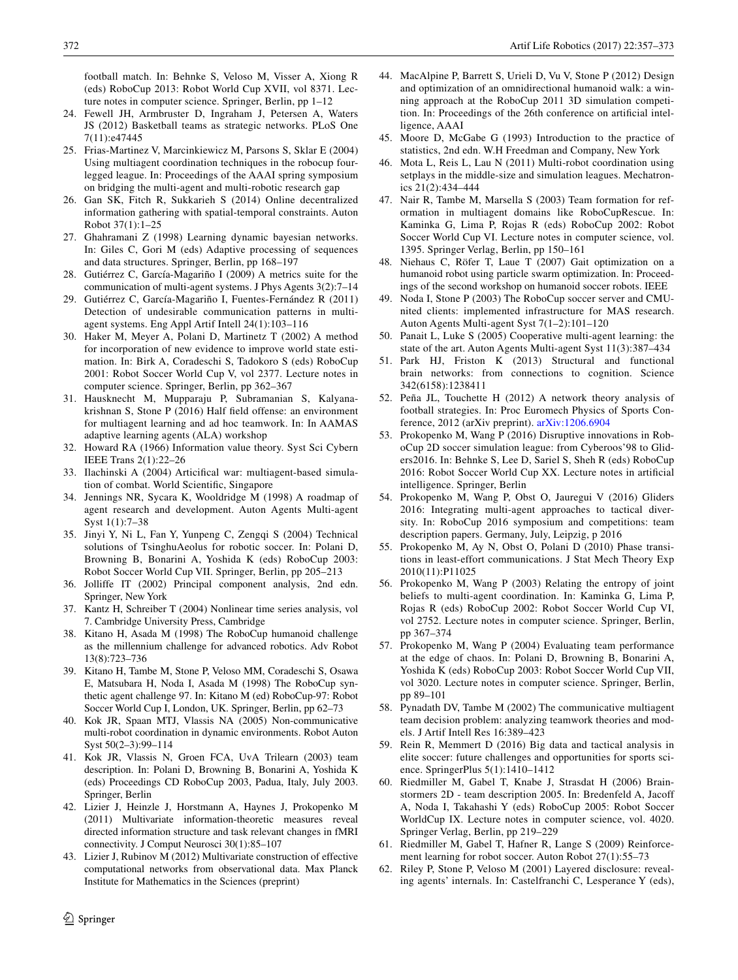football match. In: Behnke S, Veloso M, Visser A, Xiong R (eds) RoboCup 2013: Robot World Cup XVII, vol 8371. Lecture notes in computer science. Springer, Berlin, pp 1–12

- <span id="page-15-29"></span>24. Fewell JH, Armbruster D, Ingraham J, Petersen A, Waters JS (2012) Basketball teams as strategic networks. PLoS One 7(11):e47445
- <span id="page-15-27"></span>25. Frias-Martinez V, Marcinkiewicz M, Parsons S, Sklar E (2004) Using multiagent coordination techniques in the robocup fourlegged league. In: Proceedings of the AAAI spring symposium on bridging the multi-agent and multi-robotic research gap
- <span id="page-15-35"></span>26. Gan SK, Fitch R, Sukkarieh S (2014) Online decentralized information gathering with spatial-temporal constraints. Auton Robot 37(1):1–25
- <span id="page-15-36"></span>27. Ghahramani Z (1998) Learning dynamic bayesian networks. In: Giles C, Gori M (eds) Adaptive processing of sequences and data structures. Springer, Berlin, pp 168–197
- <span id="page-15-23"></span>28. Gutiérrez C, García-Magariño I (2009) A metrics suite for the communication of multi-agent systems. J Phys Agents 3(2):7–14
- <span id="page-15-24"></span>29. Gutiérrez C, García-Magariño I, Fuentes-Fernández R (2011) Detection of undesirable communication patterns in multiagent systems. Eng Appl Artif Intell 24(1):103–116
- <span id="page-15-17"></span>30. Haker M, Meyer A, Polani D, Martinetz T (2002) A method for incorporation of new evidence to improve world state estimation. In: Birk A, Coradeschi S, Tadokoro S (eds) RoboCup 2001: Robot Soccer World Cup V, vol 2377. Lecture notes in computer science. Springer, Berlin, pp 362–367
- <span id="page-15-26"></span>31. Hausknecht M, Mupparaju P, Subramanian S, Kalyanakrishnan S, Stone P (2016) Half feld offense: an environment for multiagent learning and ad hoc teamwork. In: In AAMAS adaptive learning agents (ALA) workshop
- <span id="page-15-22"></span>32. Howard RA (1966) Information value theory. Syst Sci Cybern IEEE Trans 2(1):22–26
- <span id="page-15-1"></span>33. Ilachinski A (2004) Articifcal war: multiagent-based simulation of combat. World Scientifc, Singapore
- <span id="page-15-18"></span>34. Jennings NR, Sycara K, Wooldridge M (1998) A roadmap of agent research and development. Auton Agents Multi-agent Syst 1(1):7–38
- <span id="page-15-11"></span>35. Jinyi Y, Ni L, Fan Y, Yunpeng C, Zengqi S (2004) Technical solutions of TsinghuAeolus for robotic soccer. In: Polani D, Browning B, Bonarini A, Yoshida K (eds) RoboCup 2003: Robot Soccer World Cup VII. Springer, Berlin, pp 205–213
- <span id="page-15-38"></span>36. Jolliffe IT (2002) Principal component analysis, 2nd edn. Springer, New York
- <span id="page-15-31"></span>37. Kantz H, Schreiber T (2004) Nonlinear time series analysis, vol 7. Cambridge University Press, Cambridge
- <span id="page-15-3"></span>38. Kitano H, Asada M (1998) The RoboCup humanoid challenge as the millennium challenge for advanced robotics. Adv Robot 13(8):723–736
- <span id="page-15-2"></span>39. Kitano H, Tambe M, Stone P, Veloso MM, Coradeschi S, Osawa E, Matsubara H, Noda I, Asada M (1998) The RoboCup synthetic agent challenge 97. In: Kitano M (ed) RoboCup-97: Robot Soccer World Cup I, London, UK. Springer, Berlin, pp 62–73
- <span id="page-15-5"></span>40. Kok JR, Spaan MTJ, Vlassis NA (2005) Non-communicative multi-robot coordination in dynamic environments. Robot Auton Syst 50(2–3):99–114
- <span id="page-15-12"></span>41. Kok JR, Vlassis N, Groen FCA, UvA Trilearn (2003) team description. In: Polani D, Browning B, Bonarini A, Yoshida K (eds) Proceedings CD RoboCup 2003, Padua, Italy, July 2003. Springer, Berlin
- <span id="page-15-32"></span>42. Lizier J, Heinzle J, Horstmann A, Haynes J, Prokopenko M (2011) Multivariate information-theoretic measures reveal directed information structure and task relevant changes in fMRI connectivity. J Comput Neurosci 30(1):85–107
- <span id="page-15-33"></span>43. Lizier J, Rubinov M (2012) Multivariate construction of effective computational networks from observational data. Max Planck Institute for Mathematics in the Sciences (preprint)
- <span id="page-15-15"></span>44. MacAlpine P, Barrett S, Urieli D, Vu V, Stone P (2012) Design and optimization of an omnidirectional humanoid walk: a winning approach at the RoboCup 2011 3D simulation competition. In: Proceedings of the 26th conference on artifcial intelligence, AAAI
- <span id="page-15-37"></span>45. Moore D, McGabe G (1993) Introduction to the practice of statistics, 2nd edn. W.H Freedman and Company, New York
- <span id="page-15-6"></span>46. Mota L, Reis L, Lau N (2011) Multi-robot coordination using setplays in the middle-size and simulation leagues. Mechatronics 21(2):434–444
- <span id="page-15-25"></span>47. Nair R, Tambe M, Marsella S (2003) Team formation for reformation in multiagent domains like RoboCupRescue. In: Kaminka G, Lima P, Rojas R (eds) RoboCup 2002: Robot Soccer World Cup VI. Lecture notes in computer science, vol. 1395. Springer Verlag, Berlin, pp 150–161
- <span id="page-15-16"></span>48. Niehaus C, Röfer T, Laue T (2007) Gait optimization on a humanoid robot using particle swarm optimization. In: Proceedings of the second workshop on humanoid soccer robots. IEEE
- <span id="page-15-4"></span>49. Noda I, Stone P (2003) The RoboCup soccer server and CMUnited clients: implemented infrastructure for MAS research. Auton Agents Multi-agent Syst 7(1–2):101–120
- <span id="page-15-21"></span>50. Panait L, Luke S (2005) Cooperative multi-agent learning: the state of the art. Auton Agents Multi-agent Syst 11(3):387–434
- <span id="page-15-34"></span>51. Park HJ, Friston K (2013) Structural and functional brain networks: from connections to cognition. Science 342(6158):1238411
- <span id="page-15-30"></span>52. Peña JL, Touchette H (2012) A network theory analysis of football strategies. In: Proc Euromech Physics of Sports Conference, 2012 (arXiv preprint). [arXiv:1206.6904](http://arxiv.org/abs/1206.6904)
- <span id="page-15-7"></span>53. Prokopenko M, Wang P (2016) Disruptive innovations in RoboCup 2D soccer simulation league: from Cyberoos'98 to Gliders2016. In: Behnke S, Lee D, Sariel S, Sheh R (eds) RoboCup 2016: Robot Soccer World Cup XX. Lecture notes in artifcial intelligence. Springer, Berlin
- <span id="page-15-13"></span>54. Prokopenko M, Wang P, Obst O, Jauregui V (2016) Gliders 2016: Integrating multi-agent approaches to tactical diversity. In: RoboCup 2016 symposium and competitions: team description papers. Germany, July, Leipzig, p 2016
- <span id="page-15-28"></span>55. Prokopenko M, Ay N, Obst O, Polani D (2010) Phase transitions in least-effort communications. J Stat Mech Theory Exp 2010(11):P11025
- <span id="page-15-8"></span>56. Prokopenko M, Wang P (2003) Relating the entropy of joint beliefs to multi-agent coordination. In: Kaminka G, Lima P, Rojas R (eds) RoboCup 2002: Robot Soccer World Cup VI, vol 2752. Lecture notes in computer science. Springer, Berlin, pp 367–374
- <span id="page-15-0"></span>57. Prokopenko M, Wang P (2004) Evaluating team performance at the edge of chaos. In: Polani D, Browning B, Bonarini A, Yoshida K (eds) RoboCup 2003: Robot Soccer World Cup VII, vol 3020. Lecture notes in computer science. Springer, Berlin, pp 89–101
- <span id="page-15-20"></span>58. Pynadath DV, Tambe M (2002) The communicative multiagent team decision problem: analyzing teamwork theories and models. J Artif Intell Res 16:389–423
- <span id="page-15-19"></span>59. Rein R, Memmert D (2016) Big data and tactical analysis in elite soccer: future challenges and opportunities for sports science. SpringerPlus 5(1):1410–1412
- <span id="page-15-14"></span>60. Riedmiller M, Gabel T, Knabe J, Strasdat H (2006) Brainstormers 2D - team description 2005. In: Bredenfeld A, Jacoff A, Noda I, Takahashi Y (eds) RoboCup 2005: Robot Soccer WorldCup IX. Lecture notes in computer science, vol. 4020. Springer Verlag, Berlin, pp 219–229
- <span id="page-15-9"></span>61. Riedmiller M, Gabel T, Hafner R, Lange S (2009) Reinforcement learning for robot soccer. Auton Robot 27(1):55–73
- <span id="page-15-10"></span>62. Riley P, Stone P, Veloso M (2001) Layered disclosure: revealing agents' internals. In: Castelfranchi C, Lesperance Y (eds),